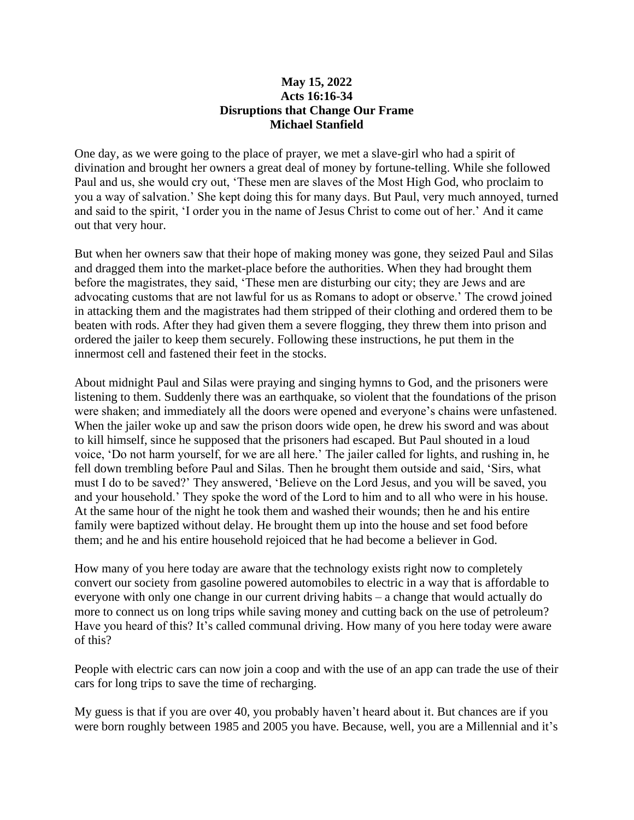## **May 15, 2022 Acts 16:16-34 Disruptions that Change Our Frame Michael Stanfield**

One day, as we were going to the place of prayer, we met a slave-girl who had a spirit of divination and brought her owners a great deal of money by fortune-telling. While she followed Paul and us, she would cry out, 'These men are slaves of the Most High God, who proclaim to you a way of salvation.' She kept doing this for many days. But Paul, very much annoyed, turned and said to the spirit, 'I order you in the name of Jesus Christ to come out of her.' And it came out that very hour.

But when her owners saw that their hope of making money was gone, they seized Paul and Silas and dragged them into the market-place before the authorities. When they had brought them before the magistrates, they said, 'These men are disturbing our city; they are Jews and are advocating customs that are not lawful for us as Romans to adopt or observe.' The crowd joined in attacking them and the magistrates had them stripped of their clothing and ordered them to be beaten with rods. After they had given them a severe flogging, they threw them into prison and ordered the jailer to keep them securely. Following these instructions, he put them in the innermost cell and fastened their feet in the stocks.

About midnight Paul and Silas were praying and singing hymns to God, and the prisoners were listening to them. Suddenly there was an earthquake, so violent that the foundations of the prison were shaken; and immediately all the doors were opened and everyone's chains were unfastened. When the jailer woke up and saw the prison doors wide open, he drew his sword and was about to kill himself, since he supposed that the prisoners had escaped. But Paul shouted in a loud voice, 'Do not harm yourself, for we are all here.' The jailer called for lights, and rushing in, he fell down trembling before Paul and Silas. Then he brought them outside and said, 'Sirs, what must I do to be saved?' They answered, 'Believe on the Lord Jesus, and you will be saved, you and your household.' They spoke the word of the Lord to him and to all who were in his house. At the same hour of the night he took them and washed their wounds; then he and his entire family were baptized without delay. He brought them up into the house and set food before them; and he and his entire household rejoiced that he had become a believer in God.

How many of you here today are aware that the technology exists right now to completely convert our society from gasoline powered automobiles to electric in a way that is affordable to everyone with only one change in our current driving habits – a change that would actually do more to connect us on long trips while saving money and cutting back on the use of petroleum? Have you heard of this? It's called communal driving. How many of you here today were aware of this?

People with electric cars can now join a coop and with the use of an app can trade the use of their cars for long trips to save the time of recharging.

My guess is that if you are over 40, you probably haven't heard about it. But chances are if you were born roughly between 1985 and 2005 you have. Because, well, you are a Millennial and it's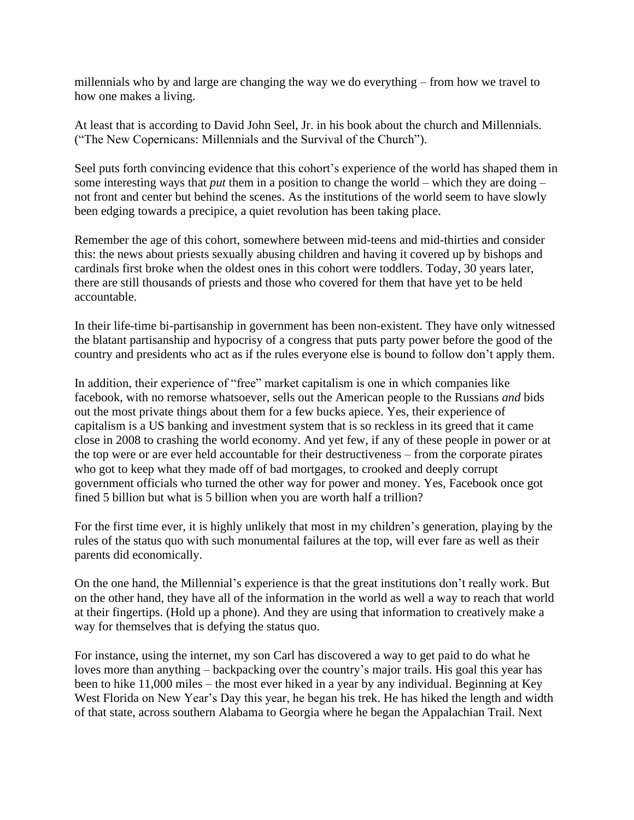millennials who by and large are changing the way we do everything – from how we travel to how one makes a living.

At least that is according to David John Seel, Jr. in his book about the church and Millennials. ("The New Copernicans: Millennials and the Survival of the Church").

Seel puts forth convincing evidence that this cohort's experience of the world has shaped them in some interesting ways that *put* them in a position to change the world – which they are doing – not front and center but behind the scenes. As the institutions of the world seem to have slowly been edging towards a precipice, a quiet revolution has been taking place.

Remember the age of this cohort, somewhere between mid-teens and mid-thirties and consider this: the news about priests sexually abusing children and having it covered up by bishops and cardinals first broke when the oldest ones in this cohort were toddlers. Today, 30 years later, there are still thousands of priests and those who covered for them that have yet to be held accountable.

In their life-time bi-partisanship in government has been non-existent. They have only witnessed the blatant partisanship and hypocrisy of a congress that puts party power before the good of the country and presidents who act as if the rules everyone else is bound to follow don't apply them.

In addition, their experience of "free" market capitalism is one in which companies like facebook, with no remorse whatsoever, sells out the American people to the Russians *and* bids out the most private things about them for a few bucks apiece. Yes, their experience of capitalism is a US banking and investment system that is so reckless in its greed that it came close in 2008 to crashing the world economy. And yet few, if any of these people in power or at the top were or are ever held accountable for their destructiveness – from the corporate pirates who got to keep what they made off of bad mortgages, to crooked and deeply corrupt government officials who turned the other way for power and money. Yes, Facebook once got fined 5 billion but what is 5 billion when you are worth half a trillion?

For the first time ever, it is highly unlikely that most in my children's generation, playing by the rules of the status quo with such monumental failures at the top, will ever fare as well as their parents did economically.

On the one hand, the Millennial's experience is that the great institutions don't really work. But on the other hand, they have all of the information in the world as well a way to reach that world at their fingertips. (Hold up a phone). And they are using that information to creatively make a way for themselves that is defying the status quo.

For instance, using the internet, my son Carl has discovered a way to get paid to do what he loves more than anything – backpacking over the country's major trails. His goal this year has been to hike 11,000 miles – the most ever hiked in a year by any individual. Beginning at Key West Florida on New Year's Day this year, he began his trek. He has hiked the length and width of that state, across southern Alabama to Georgia where he began the Appalachian Trail. Next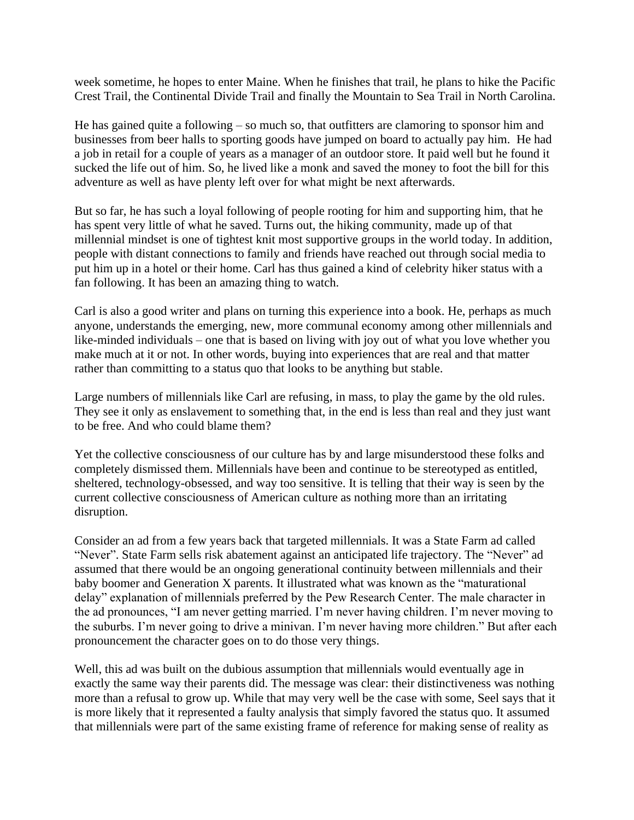week sometime, he hopes to enter Maine. When he finishes that trail, he plans to hike the Pacific Crest Trail, the Continental Divide Trail and finally the Mountain to Sea Trail in North Carolina.

He has gained quite a following – so much so, that outfitters are clamoring to sponsor him and businesses from beer halls to sporting goods have jumped on board to actually pay him. He had a job in retail for a couple of years as a manager of an outdoor store. It paid well but he found it sucked the life out of him. So, he lived like a monk and saved the money to foot the bill for this adventure as well as have plenty left over for what might be next afterwards.

But so far, he has such a loyal following of people rooting for him and supporting him, that he has spent very little of what he saved. Turns out, the hiking community, made up of that millennial mindset is one of tightest knit most supportive groups in the world today. In addition, people with distant connections to family and friends have reached out through social media to put him up in a hotel or their home. Carl has thus gained a kind of celebrity hiker status with a fan following. It has been an amazing thing to watch.

Carl is also a good writer and plans on turning this experience into a book. He, perhaps as much anyone, understands the emerging, new, more communal economy among other millennials and like-minded individuals – one that is based on living with joy out of what you love whether you make much at it or not. In other words, buying into experiences that are real and that matter rather than committing to a status quo that looks to be anything but stable.

Large numbers of millennials like Carl are refusing, in mass, to play the game by the old rules. They see it only as enslavement to something that, in the end is less than real and they just want to be free. And who could blame them?

Yet the collective consciousness of our culture has by and large misunderstood these folks and completely dismissed them. Millennials have been and continue to be stereotyped as entitled, sheltered, technology-obsessed, and way too sensitive. It is telling that their way is seen by the current collective consciousness of American culture as nothing more than an irritating disruption.

Consider an ad from a few years back that targeted millennials. It was a State Farm ad called "Never". State Farm sells risk abatement against an anticipated life trajectory. The "Never" ad assumed that there would be an ongoing generational continuity between millennials and their baby boomer and Generation X parents. It illustrated what was known as the "maturational delay" explanation of millennials preferred by the Pew Research Center. The male character in the ad pronounces, "I am never getting married. I'm never having children. I'm never moving to the suburbs. I'm never going to drive a minivan. I'm never having more children." But after each pronouncement the character goes on to do those very things.

Well, this ad was built on the dubious assumption that millennials would eventually age in exactly the same way their parents did. The message was clear: their distinctiveness was nothing more than a refusal to grow up. While that may very well be the case with some, Seel says that it is more likely that it represented a faulty analysis that simply favored the status quo. It assumed that millennials were part of the same existing frame of reference for making sense of reality as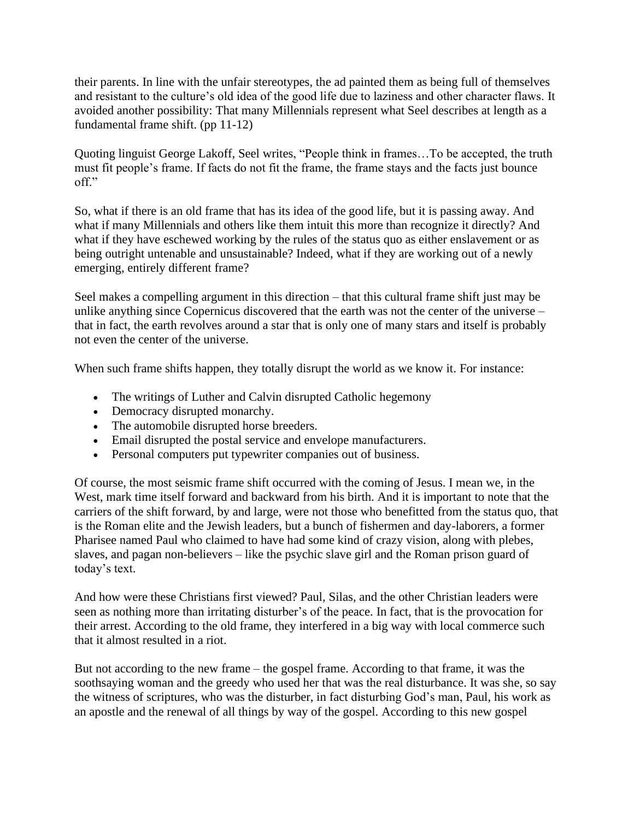their parents. In line with the unfair stereotypes, the ad painted them as being full of themselves and resistant to the culture's old idea of the good life due to laziness and other character flaws. It avoided another possibility: That many Millennials represent what Seel describes at length as a fundamental frame shift. (pp 11-12)

Quoting linguist George Lakoff, Seel writes, "People think in frames…To be accepted, the truth must fit people's frame. If facts do not fit the frame, the frame stays and the facts just bounce off."

So, what if there is an old frame that has its idea of the good life, but it is passing away. And what if many Millennials and others like them intuit this more than recognize it directly? And what if they have eschewed working by the rules of the status quo as either enslavement or as being outright untenable and unsustainable? Indeed, what if they are working out of a newly emerging, entirely different frame?

Seel makes a compelling argument in this direction – that this cultural frame shift just may be unlike anything since Copernicus discovered that the earth was not the center of the universe – that in fact, the earth revolves around a star that is only one of many stars and itself is probably not even the center of the universe.

When such frame shifts happen, they totally disrupt the world as we know it. For instance:

- The writings of Luther and Calvin disrupted Catholic hegemony
- Democracy disrupted monarchy.
- The automobile disrupted horse breeders.
- Email disrupted the postal service and envelope manufacturers.
- Personal computers put typewriter companies out of business.

Of course, the most seismic frame shift occurred with the coming of Jesus. I mean we, in the West, mark time itself forward and backward from his birth. And it is important to note that the carriers of the shift forward, by and large, were not those who benefitted from the status quo, that is the Roman elite and the Jewish leaders, but a bunch of fishermen and day-laborers, a former Pharisee named Paul who claimed to have had some kind of crazy vision, along with plebes, slaves, and pagan non-believers – like the psychic slave girl and the Roman prison guard of today's text.

And how were these Christians first viewed? Paul, Silas, and the other Christian leaders were seen as nothing more than irritating disturber's of the peace. In fact, that is the provocation for their arrest. According to the old frame, they interfered in a big way with local commerce such that it almost resulted in a riot.

But not according to the new frame – the gospel frame. According to that frame, it was the soothsaying woman and the greedy who used her that was the real disturbance. It was she, so say the witness of scriptures, who was the disturber, in fact disturbing God's man, Paul, his work as an apostle and the renewal of all things by way of the gospel. According to this new gospel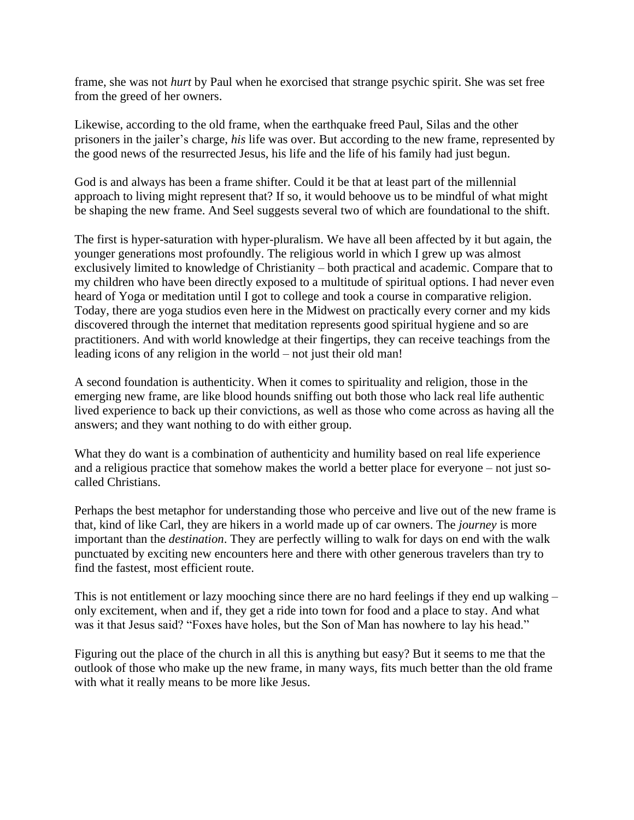frame, she was not *hurt* by Paul when he exorcised that strange psychic spirit. She was set free from the greed of her owners.

Likewise, according to the old frame, when the earthquake freed Paul, Silas and the other prisoners in the jailer's charge, *his* life was over. But according to the new frame, represented by the good news of the resurrected Jesus, his life and the life of his family had just begun.

God is and always has been a frame shifter. Could it be that at least part of the millennial approach to living might represent that? If so, it would behoove us to be mindful of what might be shaping the new frame. And Seel suggests several two of which are foundational to the shift.

The first is hyper-saturation with hyper-pluralism. We have all been affected by it but again, the younger generations most profoundly. The religious world in which I grew up was almost exclusively limited to knowledge of Christianity – both practical and academic. Compare that to my children who have been directly exposed to a multitude of spiritual options. I had never even heard of Yoga or meditation until I got to college and took a course in comparative religion. Today, there are yoga studios even here in the Midwest on practically every corner and my kids discovered through the internet that meditation represents good spiritual hygiene and so are practitioners. And with world knowledge at their fingertips, they can receive teachings from the leading icons of any religion in the world – not just their old man!

A second foundation is authenticity. When it comes to spirituality and religion, those in the emerging new frame, are like blood hounds sniffing out both those who lack real life authentic lived experience to back up their convictions, as well as those who come across as having all the answers; and they want nothing to do with either group.

What they do want is a combination of authenticity and humility based on real life experience and a religious practice that somehow makes the world a better place for everyone – not just socalled Christians.

Perhaps the best metaphor for understanding those who perceive and live out of the new frame is that, kind of like Carl, they are hikers in a world made up of car owners. The *journey* is more important than the *destination*. They are perfectly willing to walk for days on end with the walk punctuated by exciting new encounters here and there with other generous travelers than try to find the fastest, most efficient route.

This is not entitlement or lazy mooching since there are no hard feelings if they end up walking – only excitement, when and if, they get a ride into town for food and a place to stay. And what was it that Jesus said? "Foxes have holes, but the Son of Man has nowhere to lay his head."

Figuring out the place of the church in all this is anything but easy? But it seems to me that the outlook of those who make up the new frame, in many ways, fits much better than the old frame with what it really means to be more like Jesus.